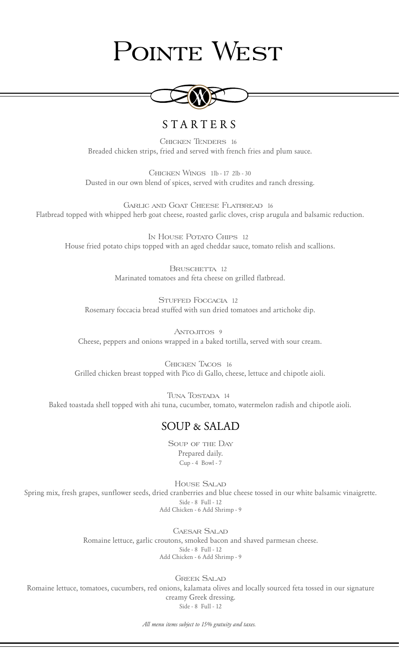# POINTE WEST



## S T A R T E R S

Chicken Tenders 16 Breaded chicken strips, fried and served with french fries and plum sauce.

Chicken Wings 1lb - 17 2lb - 30 Dusted in our own blend of spices, served with crudites and ranch dressing.

Garlic and Goat Cheese Flatbread 16 Flatbread topped with whipped herb goat cheese, roasted garlic cloves, crisp arugula and balsamic reduction.

In House Potato Chips 12 House fried potato chips topped with an aged cheddar sauce, tomato relish and scallions.

> BRUSCHETTA 12 Marinated tomatoes and feta cheese on grilled flatbread.

STUFFED FOGGAGIA 12 Rosemary foccacia bread stuffed with sun dried tomatoes and artichoke dip.

ANTOJITOS 9 Cheese, peppers and onions wrapped in a baked tortilla, served with sour cream.

Chicken Tacos 16 Grilled chicken breast topped with Pico di Gallo, cheese, lettuce and chipotle aioli.

Tuna Tostada 14 Baked toastada shell topped with ahi tuna, cucumber, tomato, watermelon radish and chipotle aioli.

### SOUP & SALAD

Soup of the Day Prepared daily. Cup - 4 Bowl - 7

House Salad Spring mix, fresh grapes, sunflower seeds, dried cranberries and blue cheese tossed in our white balsamic vinaigrette. Side - 8 Full - 12 Add Chicken - 6 Add Shrimp - 9

> Caesar Salad Romaine lettuce, garlic croutons, smoked bacon and shaved parmesan cheese. Side - 8 Full - 12 Add Chicken - 6 Add Shrimp - 9

> > Greek Salad

Romaine lettuce, tomatoes, cucumbers, red onions, kalamata olives and locally sourced feta tossed in our signature creamy Greek dressing. Side - 8 Full - 12

*All menu items subject to 15% gratuity and taxes.*